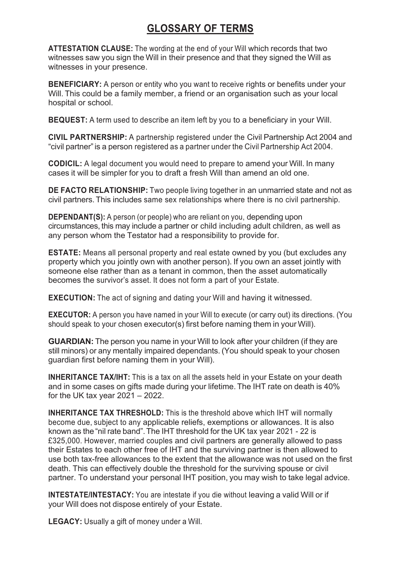## **GLOSSARY OF TERMS**

**ATTESTATION CLAUSE:** The wording at the end of your Will which records that two witnesses saw you sign the Will in their presence and that they signed the Will as witnesses in your presence.

**BENEFICIARY:** A person or entity who you want to receive rights or benefits under your Will. This could be a family member, a friend or an organisation such as your local hospital or school.

**BEQUEST:** A term used to describe an item left by you to a beneficiary in your Will.

**CIVIL PARTNERSHIP:** A partnership registered under the Civil Partnership Act 2004 and "civil partner"is a person registered as a partner under the Civil Partnership Act 2004.

**CODICIL:** A legal document you would need to prepare to amend your Will. In many cases it will be simpler for you to draft a fresh Will than amend an old one.

**DE FACTO RELATIONSHIP:** Two people living together in an unmarried state and not as civil partners. This includes same sex relationships where there is no civil partnership.

**DEPENDANT(S):** A person (or people) who are reliant on you, depending upon circumstances, this may include a partner or child including adult children, as well as any person whom the Testator had a responsibility to provide for.

**ESTATE:** Means all personal property and real estate owned by you (but excludes any property which you jointly own with another person). If you own an asset jointly with someone else rather than as a tenant in common, then the asset automatically becomes the survivor's asset. It does not form a part of your Estate.

**EXECUTION:** The act of signing and dating your Will and having it witnessed.

**EXECUTOR:** A person you have named in your Will to execute (or carry out) its directions. (You should speak to your chosen executor(s) first before naming them in yourWill).

**GUARDIAN:** The person you name in your Will to look after your children (if they are still minors) or any mentally impaired dependants. (You should speak to your chosen guardian first before naming them in your Will).

**INHERITANCE TAX/IHT:** This is a tax on all the assets held in your Estate on your death and in some cases on gifts made during your lifetime. The IHT rate on death is 40% for the UK tax year  $2021 - 2022$ .

**INHERITANCE TAX THRESHOLD:** This is the threshold above which IHT will normally become due, subject to any applicable reliefs, exemptions or allowances. It is also known as the "nil rate band".The IHT threshold for the UK tax year 2021 - 22 is £325,000. However, married couples and civil partners are generally allowed to pass their Estates to each other free of IHT and the surviving partner is then allowed to use both tax-free allowances to the extent that the allowance was not used on the first death. This can effectively double the threshold for the surviving spouse or civil partner. To understand your personal IHT position, you may wish to take legal advice.

**INTESTATE/INTESTACY:** You are intestate if you die without leaving a valid Will or if your Will does not dispose entirely of your Estate.

**LEGACY:** Usually a gift of money under a Will.